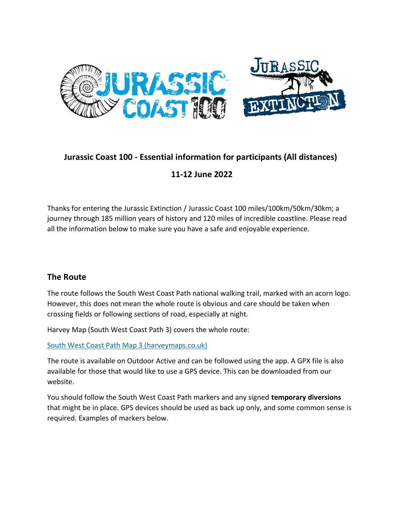

# **Jurassic Coast 100 - Essential information for participants (All distances)**

### **11-12 June 2022**

Thanks for entering the Jurassic Extinction / Jurassic Coast 100 miles/100km/50km/30km; a journey through 185 million years of history and 120 miles of incredible coastline. Please read all the information below to make sure you have a safe and enjoyable experience.

#### **The Route**

The route follows the South West Coast Path national walking trail, marked with an acorn logo. However, this does not mean the whole route is obvious and care should be taken when crossing fields or following sections of road, especially at night.

Harvey Map (South West Coast Path 3) covers the whole route:

[South West Coast Path Map 3 \(harveymaps.co.uk\)](https://www.harveymaps.co.uk/acatalog/South-West-Coast-Path-3-YHWRSW3.html)

The route is available on Outdoor Active and can be followed using the app. A GPX file is also available for those that would like to use a GPS device. This can be downloaded from our website.

You should follow the South West Coast Path markers and any signed **temporary diversions** that might be in place. GPS devices should be used as back up only, and some common sense is required. Examples of markers below.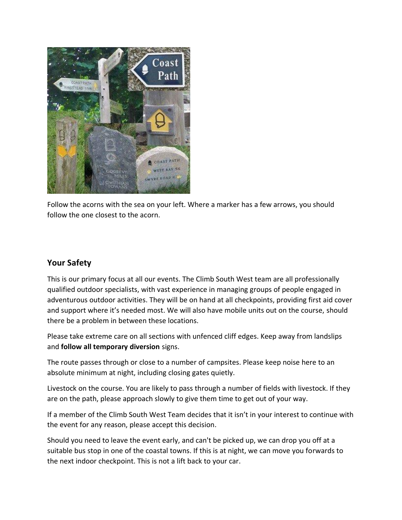

Follow the acorns with the sea on your left. Where a marker has a few arrows, you should follow the one closest to the acorn.

### **Your Safety**

This is our primary focus at all our events. The Climb South West team are all professionally qualified outdoor specialists, with vast experience in managing groups of people engaged in adventurous outdoor activities. They will be on hand at all checkpoints, providing first aid cover and support where it's needed most. We will also have mobile units out on the course, should there be a problem in between these locations.

Please take extreme care on all sections with unfenced cliff edges. Keep away from landslips and **follow all temporary diversion** signs.

The route passes through or close to a number of campsites. Please keep noise here to an absolute minimum at night, including closing gates quietly.

Livestock on the course. You are likely to pass through a number of fields with livestock. If they are on the path, please approach slowly to give them time to get out of your way.

If a member of the Climb South West Team decides that it isn't in your interest to continue with the event for any reason, please accept this decision.

Should you need to leave the event early, and can't be picked up, we can drop you off at a suitable bus stop in one of the coastal towns. If this is at night, we can move you forwards to the next indoor checkpoint. This is not a lift back to your car.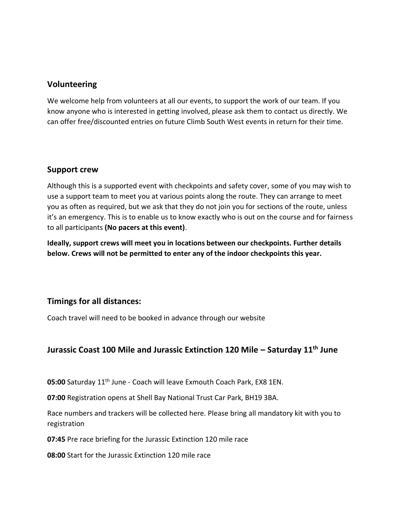#### **Volunteering**

We welcome help from volunteers at all our events, to support the work of our team. If you know anyone who is interested in getting involved, please ask them to contact us directly. We can offer free/discounted entries on future Climb South West events in return for their time.

#### **Support crew**

Although this is a supported event with checkpoints and safety cover, some of you may wish to use a support team to meet you at various points along the route. They can arrange to meet you as often as required, but we ask that they do not join you for sections of the route, unless it's an emergency. This is to enable us to know exactly who is out on the course and for fairness to all participants **(No pacers at this event)**.

**Ideally, support crews will meet you in locations between our checkpoints. Further details below. Crews will not be permitted to enter any of the indoor checkpoints this year.**

#### **Timings for all distances:**

Coach travel will need to be booked in advance through our website

# **Jurassic Coast 100 Mile and Jurassic Extinction 120 Mile – Saturday 11th June**

**05:00** Saturday 11th June - Coach will leave Exmouth Coach Park, EX8 1EN.

**07:00** Registration opens at Shell Bay National Trust Car Park, BH19 3BA.

Race numbers and trackers will be collected here. Please bring all mandatory kit with you to registration

**07:45** Pre race briefing for the Jurassic Extinction 120 mile race

**08:00** Start for the Jurassic Extinction 120 mile race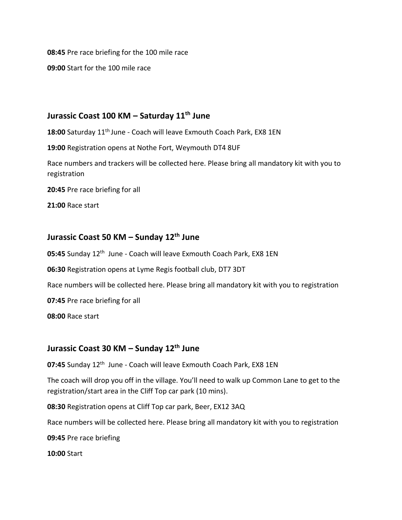**08:45** Pre race briefing for the 100 mile race

**09:00** Start for the 100 mile race

### **Jurassic Coast 100 KM – Saturday 11th June**

18:00 Saturday 11<sup>th</sup> June - Coach will leave Exmouth Coach Park, EX8 1EN

**19:00** Registration opens at Nothe Fort, Weymouth DT4 8UF

Race numbers and trackers will be collected here. Please bring all mandatory kit with you to registration

**20:45** Pre race briefing for all

**21:00** Race start

### **Jurassic Coast 50 KM – Sunday 12th June**

05:45 Sunday 12<sup>th</sup> June - Coach will leave Exmouth Coach Park, EX8 1EN

**06:30** Registration opens at Lyme Regis football club, DT7 3DT

Race numbers will be collected here. Please bring all mandatory kit with you to registration

**07:45** Pre race briefing for all

**08:00** Race start

### **Jurassic Coast 30 KM – Sunday 12th June**

07:45 Sunday 12<sup>th</sup> June - Coach will leave Exmouth Coach Park, EX8 1EN

The coach will drop you off in the village. You'll need to walk up Common Lane to get to the registration/start area in the Cliff Top car park (10 mins).

**08:30** Registration opens at Cliff Top car park, Beer, EX12 3AQ

Race numbers will be collected here. Please bring all mandatory kit with you to registration

**09:45** Pre race briefing

**10:00** Start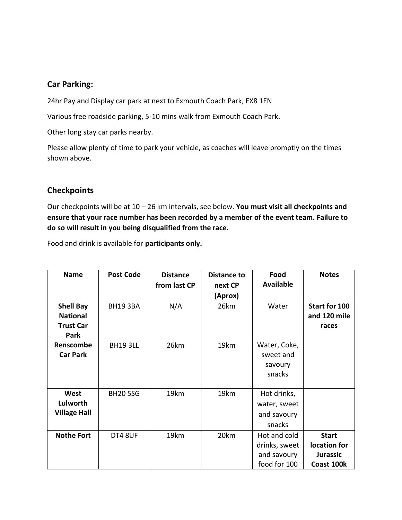#### **Car Parking:**

24hr Pay and Display car park at next to Exmouth Coach Park, EX8 1EN

Various free roadside parking, 5-10 mins walk from Exmouth Coach Park.

Other long stay car parks nearby.

Please allow plenty of time to park your vehicle, as coaches will leave promptly on the times shown above.

#### **Checkpoints**

Our checkpoints will be at 10 – 26 km intervals, see below. **You must visit all checkpoints and ensure that your race number has been recorded by a member of the event team. Failure to do so will result in you being disqualified from the race.**

Food and drink is available for **participants only.**

| <b>Name</b>         | <b>Post Code</b> | <b>Distance</b> | <b>Distance to</b> | Food              | <b>Notes</b>    |
|---------------------|------------------|-----------------|--------------------|-------------------|-----------------|
|                     |                  | from last CP    | next CP            | <b>Available</b>  |                 |
|                     |                  |                 | (Aprox)            |                   |                 |
| <b>Shell Bay</b>    | <b>BH193BA</b>   | N/A             | 26km               | Water             | Start for 100   |
| <b>National</b>     |                  |                 |                    |                   | and 120 mile    |
| <b>Trust Car</b>    |                  |                 |                    |                   | races           |
| Park                |                  |                 |                    |                   |                 |
| Renscombe           | <b>BH193LL</b>   | 26km            | 19km               | Water, Coke,      |                 |
| <b>Car Park</b>     |                  |                 |                    | sweet and         |                 |
|                     |                  |                 |                    | savoury<br>snacks |                 |
|                     |                  |                 |                    |                   |                 |
| West                | <b>BH205SG</b>   | 19km            | 19km               | Hot drinks,       |                 |
| Lulworth            |                  |                 |                    | water, sweet      |                 |
| <b>Village Hall</b> |                  |                 |                    | and savoury       |                 |
|                     |                  |                 |                    | snacks            |                 |
| <b>Nothe Fort</b>   | DT4 8UF          | 19km            | 20km               | Hot and cold      | <b>Start</b>    |
|                     |                  |                 |                    | drinks, sweet     | location for    |
|                     |                  |                 |                    | and savoury       | <b>Jurassic</b> |
|                     |                  |                 |                    | food for 100      | Coast 100k      |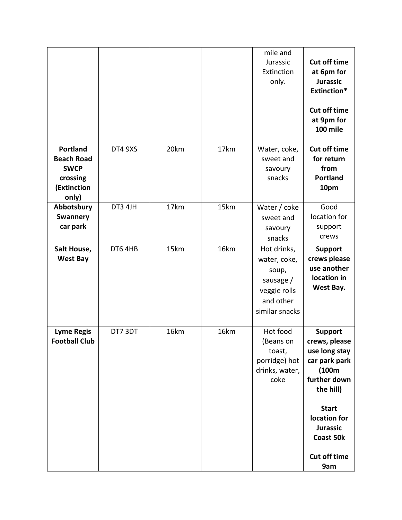|                                                                                         |         |      |      | mile and<br>Jurassic<br>Extinction<br>only.                                                      | <b>Cut off time</b><br>at 6pm for<br><b>Jurassic</b><br><b>Extinction*</b><br><b>Cut off time</b><br>at 9pm for<br>100 mile |
|-----------------------------------------------------------------------------------------|---------|------|------|--------------------------------------------------------------------------------------------------|-----------------------------------------------------------------------------------------------------------------------------|
| <b>Portland</b><br><b>Beach Road</b><br><b>SWCP</b><br>crossing<br>(Extinction<br>only) | DT4 9XS | 20km | 17km | Water, coke,<br>sweet and<br>savoury<br>snacks                                                   | <b>Cut off time</b><br>for return<br>from<br><b>Portland</b><br>10pm                                                        |
| Abbotsbury<br><b>Swannery</b><br>car park                                               | DT3 4JH | 17km | 15km | Water / coke<br>sweet and<br>savoury<br>snacks                                                   | Good<br>location for<br>support<br>crews                                                                                    |
| Salt House,<br><b>West Bay</b>                                                          | DT6 4HB | 15km | 16km | Hot drinks,<br>water, coke,<br>soup,<br>sausage /<br>veggie rolls<br>and other<br>similar snacks | <b>Support</b><br>crews please<br>use another<br>location in<br>West Bay.                                                   |
| <b>Lyme Regis</b><br><b>Football Club</b>                                               | DT7 3DT | 16km | 16km | Hot food<br>(Beans on<br>toast,<br>porridge) hot<br>drinks, water,<br>coke                       | <b>Support</b><br>crews, please<br>use long stay<br>car park park<br>(100m)<br>further down<br>the hill)                    |
|                                                                                         |         |      |      |                                                                                                  | <b>Start</b><br>location for<br><b>Jurassic</b><br>Coast 50k<br><b>Cut off time</b><br>9am                                  |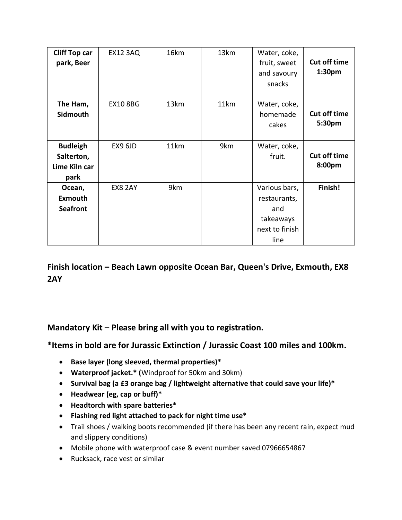| <b>Cliff Top car</b><br>park, Beer                     | <b>EX12 3AQ</b> | 16km | 13km | Water, coke,<br>fruit, sweet<br>and savoury<br>snacks                       | <b>Cut off time</b><br>1:30pm |
|--------------------------------------------------------|-----------------|------|------|-----------------------------------------------------------------------------|-------------------------------|
| The Ham,<br>Sidmouth                                   | <b>EX10 8BG</b> | 13km | 11km | Water, coke,<br>homemade<br>cakes                                           | <b>Cut off time</b><br>5:30pm |
| <b>Budleigh</b><br>Salterton,<br>Lime Kiln car<br>park | EX9 6JD         | 11km | 9km  | Water, coke,<br>fruit.                                                      | <b>Cut off time</b><br>8:00pm |
| Ocean,<br><b>Exmouth</b><br><b>Seafront</b>            | <b>EX8 2AY</b>  | 9km  |      | Various bars,<br>restaurants,<br>and<br>takeaways<br>next to finish<br>line | Finish!                       |

**Finish location – Beach Lawn opposite Ocean Bar, Queen's Drive, Exmouth, EX8 2AY** 

# **Mandatory Kit – Please bring all with you to registration.**

**\*Items in bold are for Jurassic Extinction / Jurassic Coast 100 miles and 100km.** 

- **Base layer (long sleeved, thermal properties)\***
- **Waterproof jacket.\* (**Windproof for 50km and 30km)
- **Survival bag (a £3 orange bag / lightweight alternative that could save your life)\***
- **Headwear (eg, cap or buff)\***
- **Headtorch with spare batteries\***
- **Flashing red light attached to pack for night time use\***
- Trail shoes / walking boots recommended (if there has been any recent rain, expect mud and slippery conditions)
- Mobile phone with waterproof case & event number saved 07966654867
- Rucksack, race vest or similar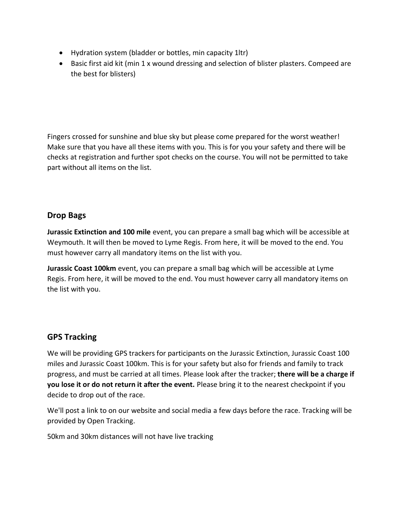- Hydration system (bladder or bottles, min capacity 1ltr)
- Basic first aid kit (min 1 x wound dressing and selection of blister plasters. Compeed are the best for blisters)

Fingers crossed for sunshine and blue sky but please come prepared for the worst weather! Make sure that you have all these items with you. This is for you your safety and there will be checks at registration and further spot checks on the course. You will not be permitted to take part without all items on the list.

#### **Drop Bags**

**Jurassic Extinction and 100 mile** event, you can prepare a small bag which will be accessible at Weymouth. It will then be moved to Lyme Regis. From here, it will be moved to the end. You must however carry all mandatory items on the list with you.

**Jurassic Coast 100km** event, you can prepare a small bag which will be accessible at Lyme Regis. From here, it will be moved to the end. You must however carry all mandatory items on the list with you.

### **GPS Tracking**

We will be providing GPS trackers for participants on the Jurassic Extinction, Jurassic Coast 100 miles and Jurassic Coast 100km. This is for your safety but also for friends and family to track progress, and must be carried at all times. Please look after the tracker; **there will be a charge if you lose it or do not return it after the event.** Please bring it to the nearest checkpoint if you decide to drop out of the race.

We'll post a link to on our website and social media a few days before the race. Tracking will be provided by Open Tracking.

50km and 30km distances will not have live tracking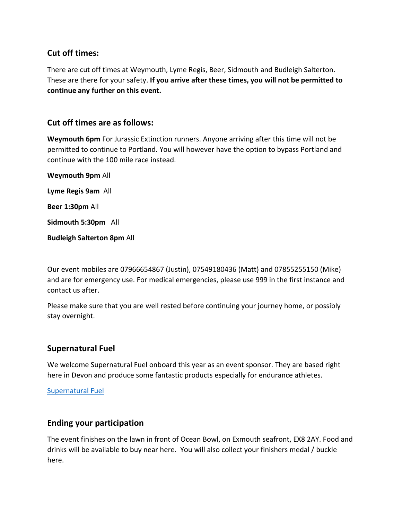#### **Cut off times:**

There are cut off times at Weymouth, Lyme Regis, Beer, Sidmouth and Budleigh Salterton. These are there for your safety. **If you arrive after these times, you will not be permitted to continue any further on this event.**

#### **Cut off times are as follows:**

**Weymouth 6pm** For Jurassic Extinction runners. Anyone arriving after this time will not be permitted to continue to Portland. You will however have the option to bypass Portland and continue with the 100 mile race instead.

**Weymouth 9pm** All **Lyme Regis 9am** All **Beer 1:30pm** All **Sidmouth 5:30pm** All **Budleigh Salterton 8pm** All

Our event mobiles are 07966654867 (Justin), 07549180436 (Matt) and 07855255150 (Mike) and are for emergency use. For medical emergencies, please use 999 in the first instance and contact us after.

Please make sure that you are well rested before continuing your journey home, or possibly stay overnight.

### **Supernatural Fuel**

We welcome Supernatural Fuel onboard this year as an event sponsor. They are based right here in Devon and produce some fantastic products especially for endurance athletes.

[Supernatural Fuel](https://supernaturalfuel.com/)

#### **Ending your participation**

The event finishes on the lawn in front of Ocean Bowl, on Exmouth seafront, EX8 2AY. Food and drinks will be available to buy near here. You will also collect your finishers medal / buckle here.